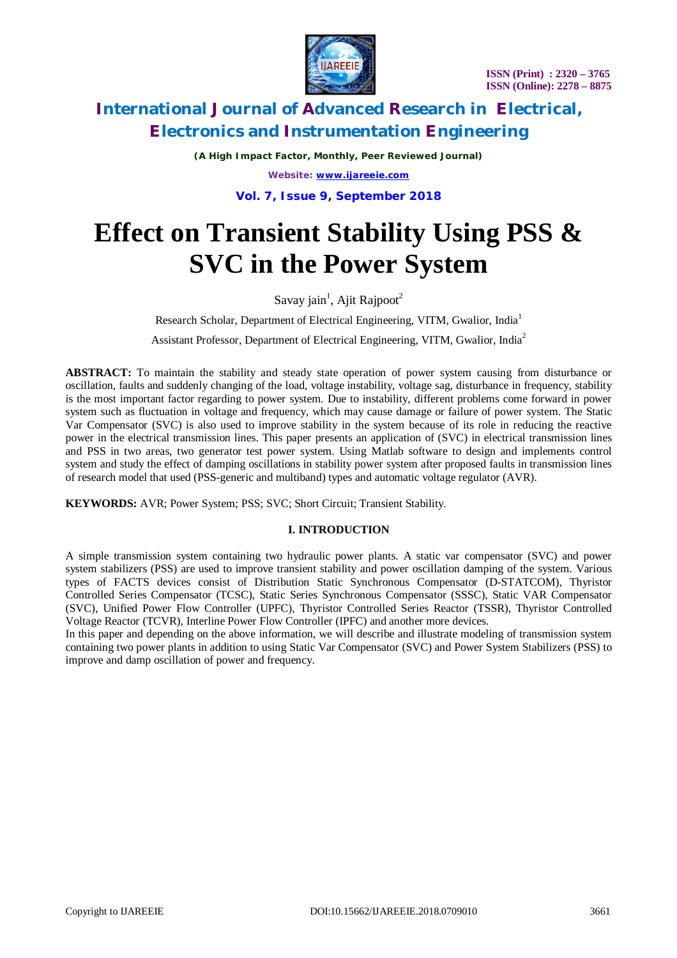

*(A High Impact Factor, Monthly, Peer Reviewed Journal) Website: [www.ijareeie.com](http://www.ijareeie.com)*

**Vol. 7, Issue 9, September 2018**

# **Effect on Transient Stability Using PSS & SVC in the Power System**

Savay jain<sup>1</sup>, Ajit Rajpoot<sup>2</sup>

Research Scholar, Department of Electrical Engineering, VITM, Gwalior, India<sup>1</sup> Assistant Professor, Department of Electrical Engineering, VITM, Gwalior, India<sup>2</sup>

**ABSTRACT:** To maintain the stability and steady state operation of power system causing from disturbance or oscillation, faults and suddenly changing of the load, voltage instability, voltage sag, disturbance in frequency, stability is the most important factor regarding to power system. Due to instability, different problems come forward in power system such as fluctuation in voltage and frequency, which may cause damage or failure of power system. The Static Var Compensator (SVC) is also used to improve stability in the system because of its role in reducing the reactive power in the electrical transmission lines. This paper presents an application of (SVC) in electrical transmission lines and PSS in two areas, two generator test power system. Using Matlab software to design and implements control system and study the effect of damping oscillations in stability power system after proposed faults in transmission lines of research model that used (PSS-generic and multiband) types and automatic voltage regulator (AVR).

**KEYWORDS:** AVR; Power System; PSS; SVC; Short Circuit; Transient Stability.

#### **I. INTRODUCTION**

A simple transmission system containing two hydraulic power plants. A static var compensator (SVC) and power system stabilizers (PSS) are used to improve transient stability and power oscillation damping of the system. Various types of FACTS devices consist of Distribution Static Synchronous Compensator (D-STATCOM), Thyristor Controlled Series Compensator (TCSC), Static Series Synchronous Compensator (SSSC), Static VAR Compensator (SVC), Unified Power Flow Controller (UPFC), Thyristor Controlled Series Reactor (TSSR), Thyristor Controlled Voltage Reactor (TCVR), Interline Power Flow Controller (IPFC) and another more devices.

In this paper and depending on the above information, we will describe and illustrate modeling of transmission system containing two power plants in addition to using Static Var Compensator (SVC) and Power System Stabilizers (PSS) to improve and damp oscillation of power and frequency.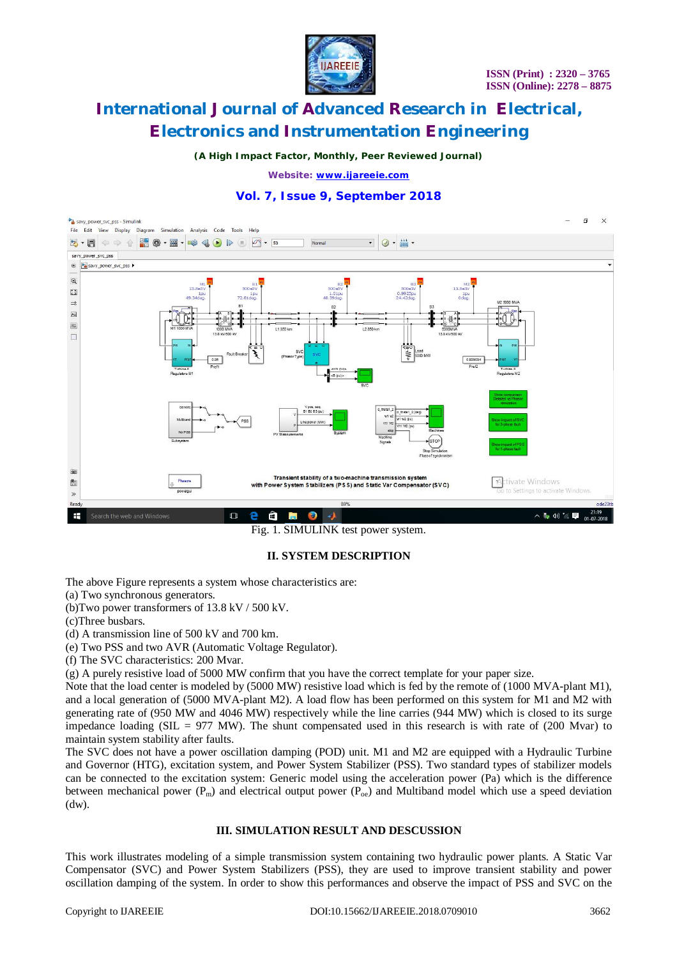

*(A High Impact Factor, Monthly, Peer Reviewed Journal)*

*Website: [www.ijareeie.com](http://www.ijareeie.com)*

### **Vol. 7, Issue 9, September 2018**



Fig. 1. SIMULINK test power system.

### **II. SYSTEM DESCRIPTION**

The above Figure represents a system whose characteristics are:

(a) Two synchronous generators.

(b)Two power transformers of 13.8 kV / 500 kV.

(c)Three busbars.

(d) A transmission line of 500 kV and 700 km.

(e) Two PSS and two AVR (Automatic Voltage Regulator).

(f) The SVC characteristics: 200 Mvar.

(g) A purely resistive load of 5000 MW confirm that you have the correct template for your paper size.

Note that the load center is modeled by (5000 MW) resistive load which is fed by the remote of (1000 MVA-plant M1), and a local generation of (5000 MVA-plant M2). A load flow has been performed on this system for M1 and M2 with generating rate of (950 MW and 4046 MW) respectively while the line carries (944 MW) which is closed to its surge impedance loading (SIL = 977 MW). The shunt compensated used in this research is with rate of (200 Mvar) to maintain system stability after faults.

The SVC does not have a power oscillation damping (POD) unit. M1 and M2 are equipped with a Hydraulic Turbine and Governor (HTG), excitation system, and Power System Stabilizer (PSS). Two standard types of stabilizer models can be connected to the excitation system: Generic model using the acceleration power (Pa) which is the difference between mechanical power ( $P_m$ ) and electrical output power ( $P_{oe}$ ) and Multiband model which use a speed deviation (dw).

#### **III. SIMULATION RESULT AND DESCUSSION**

This work illustrates modeling of a simple transmission system containing two hydraulic power plants. A Static Var Compensator (SVC) and Power System Stabilizers (PSS), they are used to improve transient stability and power oscillation damping of the system. In order to show this performances and observe the impact of PSS and SVC on the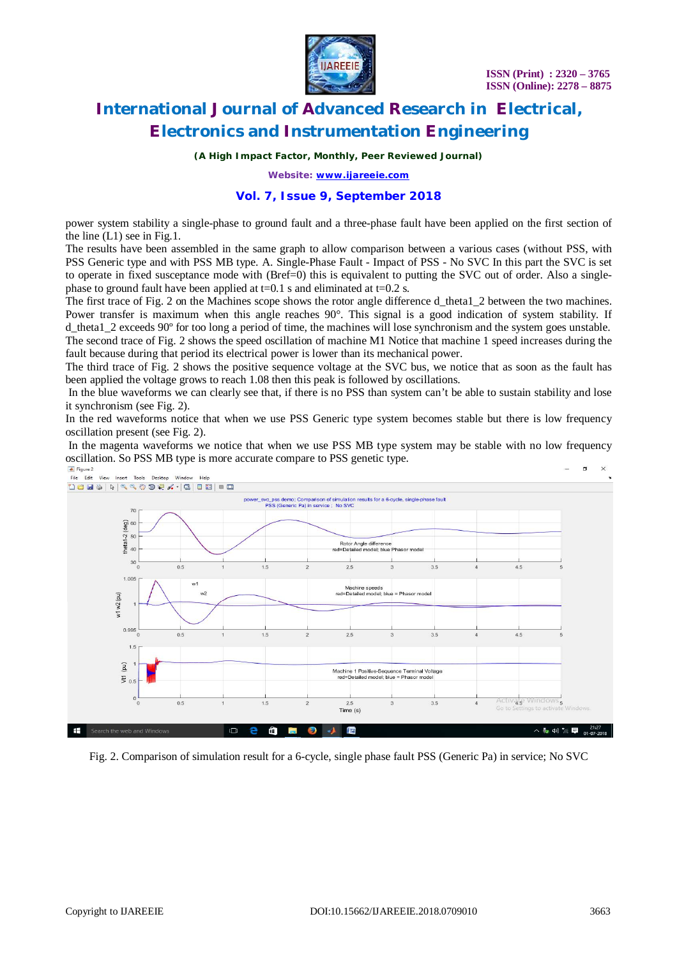

*(A High Impact Factor, Monthly, Peer Reviewed Journal)*

*Website: [www.ijareeie.com](http://www.ijareeie.com)*

### **Vol. 7, Issue 9, September 2018**

power system stability a single-phase to ground fault and a three-phase fault have been applied on the first section of the line (L1) see in Fig.1.

The results have been assembled in the same graph to allow comparison between a various cases (without PSS, with PSS Generic type and with PSS MB type. A. Single-Phase Fault - Impact of PSS - No SVC In this part the SVC is set to operate in fixed susceptance mode with (Bref=0) this is equivalent to putting the SVC out of order. Also a singlephase to ground fault have been applied at  $t=0.1$  s and eliminated at  $t=0.2$  s.

The first trace of Fig. 2 on the Machines scope shows the rotor angle difference d\_theta1\_2 between the two machines. Power transfer is maximum when this angle reaches 90°. This signal is a good indication of system stability. If d\_theta1\_2 exceeds 90º for too long a period of time, the machines will lose synchronism and the system goes unstable.

The second trace of Fig. 2 shows the speed oscillation of machine M1 Notice that machine 1 speed increases during the fault because during that period its electrical power is lower than its mechanical power.

The third trace of Fig. 2 shows the positive sequence voltage at the SVC bus, we notice that as soon as the fault has been applied the voltage grows to reach 1.08 then this peak is followed by oscillations.

In the blue waveforms we can clearly see that, if there is no PSS than system can't be able to sustain stability and lose it synchronism (see Fig. 2).

In the red waveforms notice that when we use PSS Generic type system becomes stable but there is low frequency oscillation present (see Fig. 2).

In the magenta waveforms we notice that when we use PSS MB type system may be stable with no low frequency oscillation. So PSS MB type is more accurate compare to PSS genetic type.  $\Box$ 



Fig. 2. Comparison of simulation result for a 6-cycle, single phase fault PSS (Generic Pa) in service; No SVC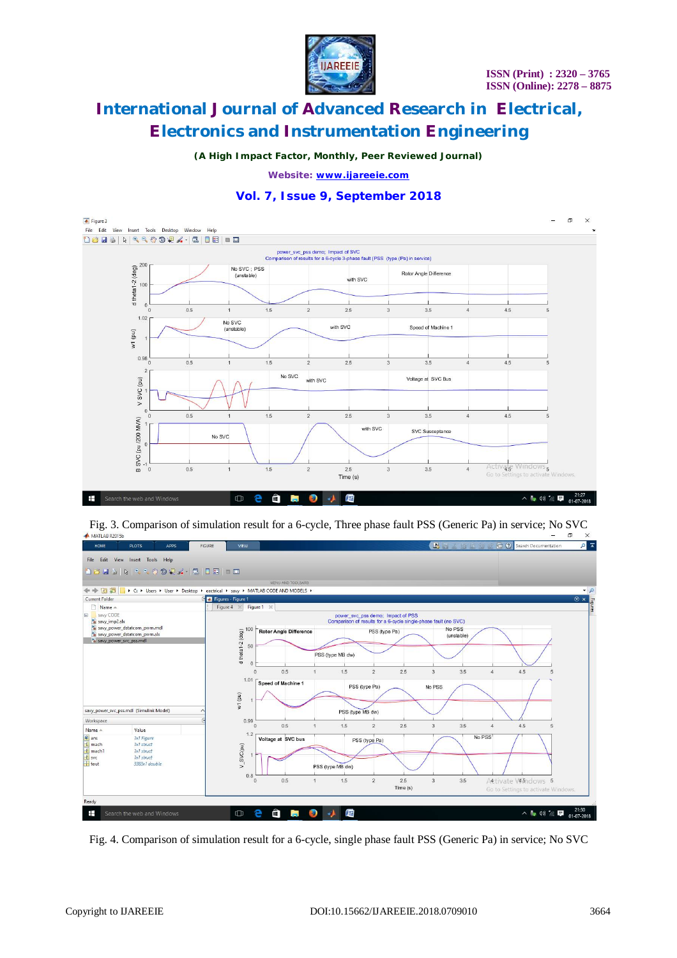

*(A High Impact Factor, Monthly, Peer Reviewed Journal)*

*Website: [www.ijareeie.com](http://www.ijareeie.com)*



### **Vol. 7, Issue 9, September 2018**

Fig. 3. Comparison of simulation result for a 6-cycle, Three phase fault PSS (Generic Pa) in service; No SVC  $\Box$ 



Fig. 4. Comparison of simulation result for a 6-cycle, single phase fault PSS (Generic Pa) in service; No SVC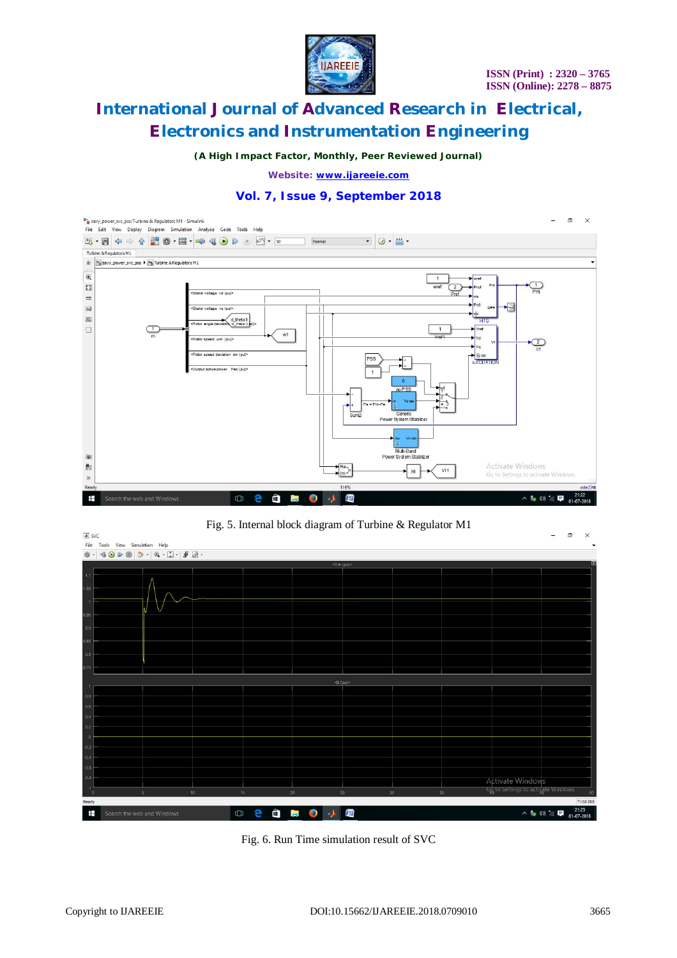

*(A High Impact Factor, Monthly, Peer Reviewed Journal)*

*Website: [www.ijareeie.com](http://www.ijareeie.com)*

### **Vol. 7, Issue 9, September 2018**







Fig. 6. Run Time simulation result of SVC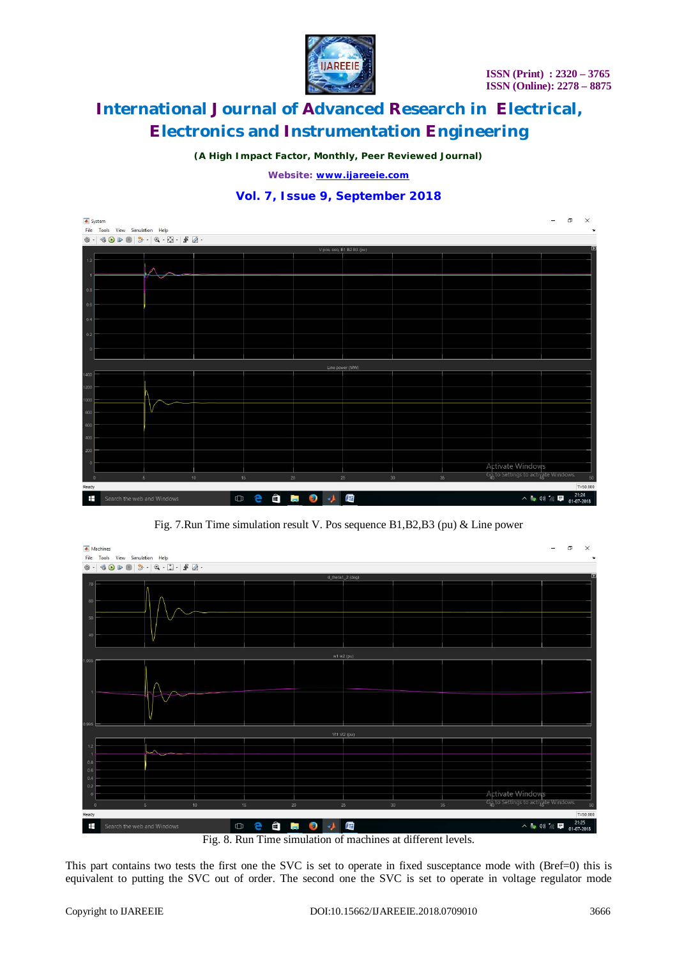

*(A High Impact Factor, Monthly, Peer Reviewed Journal)*

*Website: [www.ijareeie.com](http://www.ijareeie.com)*

### **Vol. 7, Issue 9, September 2018**



Fig. 7.Run Time simulation result V. Pos sequence B1,B2,B3 (pu) & Line power



Fig. 8. Run Time simulation of machines at different levels.

This part contains two tests the first one the SVC is set to operate in fixed susceptance mode with (Bref=0) this is equivalent to putting the SVC out of order. The second one the SVC is set to operate in voltage regulator mode